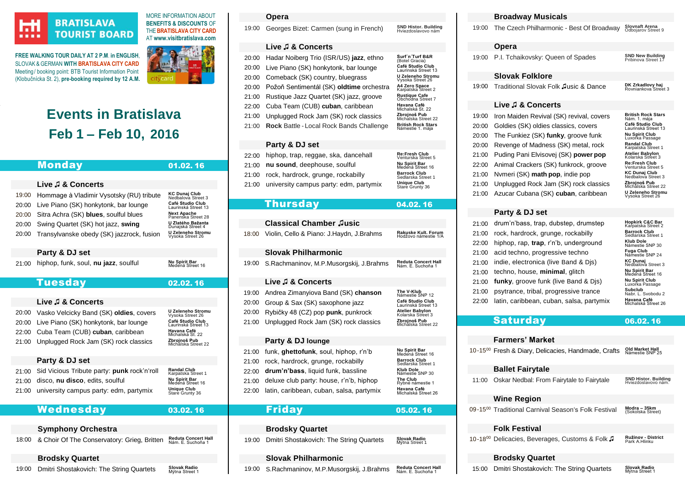## **HI** *<u>BOIST</u>*

## **BRATISLAVA TOURIST BOARD**

**FREE WALKING TOUR DAILY AT 2 P.M**. **in ENGLISH**, SLOVAK & GERMAN **WIT[H BRATISLAVA CITY CARD](https://www.visitbratislava.com/your-trip/stay-in-the-city/city-card-advantages/)** Meeting/ booking point: BTB Tourist Information Point (Klobučnícka St. 2), **pre-booking required by 12 A.M.**



MORE INFORMATION ABOUT **BENEFITS & DISCOUNTS** OF THE**[BRATISLAVA CITY CARD](https://www.visitbratislava.com/your-trip/stay-in-the-city/city-card-advantages/)** AT **[www.visitbratislava.com](http://www.visitbratislava.com/)**

# **Events in Bratislava Feb 1 – Feb 10, 2016**

|                | Monday                                      | 01.02.16                                                | 21:00 | n١ |
|----------------|---------------------------------------------|---------------------------------------------------------|-------|----|
|                |                                             |                                                         | 21:00 | rc |
|                | Live J & Concerts                           |                                                         | 21:00 | u  |
| 19:00          | Hommage à Vladimir Vysotsky (RU) tribute    | <b>KC Dunaj Club</b><br>Nedbalova Street 3              |       |    |
| 20:00          | Live Piano (SK) honkytonk, bar lounge       | Café Studio Club<br>Laurinská Street 13                 |       |    |
| 20:00          | Sitra Achra (SK) blues, soulful blues       | <b>Next Apache</b><br>Panenska Street 28                |       |    |
| 20:00          | Swing Quartet (SK) hot jazz, swing          | U Zlatého Bažanta<br>Dunajská Street 4                  |       | С  |
| 20:00          | Transylvanske obedy (SK) jazzrock, fusion   | U Zeleneho Stromu<br>Vysoka Street 26                   | 18:00 | Vi |
|                | Party & DJ set                              |                                                         |       | S  |
| 21:00          | hiphop, funk, soul, nu jazz, soulful        | Nu Spirit Bar<br>Medená Street 16                       | 19:00 | S. |
|                |                                             |                                                         |       |    |
|                | <b>Tuesday</b>                              | 02.02.16                                                |       |    |
|                |                                             |                                                         | 19:00 | Ar |
|                | Live <b>J</b> & Concerts                    |                                                         | 20:00 | Gı |
| 20:00          | Vasko Velcicky Band (SK) oldies, covers     | U Zeleneho Stromu<br>Vysoka Street 26                   | 20:00 | R١ |
| 20:00          | Live Piano (SK) honkytonk, bar lounge       | Café Studio Club<br>Laurinská Street 13                 | 21:00 | Uı |
| 22:00          | Cuba Team (CUB) cuban, caribbean            | Havana Café<br>Michalská St. 22                         |       |    |
| 21:00          | Unplugged Rock Jam (SK) rock classics       | Zbrojnoš Pub<br>Michalska Street 22                     |       | P  |
|                |                                             |                                                         | 21:00 | fu |
|                | Party & DJ set                              |                                                         | 21:00 | ro |
| 21:00          | Sid Vicious Tribute party: punk rock'n'roll | Randal Club<br>Karpatska Street 1                       | 22:00 | dr |
| 21:00<br>21:00 | disco, nu disco, edits, soulful             | Nu Spirit Bar<br>Medená Street 16<br><b>Unique Club</b> | 21:00 | de |
|                | university campus party: edm, partymix      | Stare Grunty 36                                         | 22:00 | la |
|                | Wednesday                                   | 03.02.16                                                |       |    |
|                |                                             |                                                         |       |    |
|                | <b>Symphony Orchestra</b>                   |                                                         |       | B  |
| 18:00          | & Choir Of The Conservatory: Grieg, Britten | Reduta Concert Hall<br>Nám. E. Suchoňa 1                | 19:00 | D  |
|                | <b>Brodsky Quartet</b>                      |                                                         |       | S  |
| 19:00          | Dmitri Shostakovich: The String Quartets    | <b>Slovak Radio</b><br>Mýtna Street 1                   | 19:00 | S. |

#### **Opera**

[19:00](http://www.snd.sk/?program-7) Georges Bizet: Carmen (sung in French) SND Histor, Building<br>Hviezdoslavovo nám

## **Live ♫ & Concerts**

| 20:00                | Hadar Noiberg Trio (ISR/US) jazz, ethno         | Surf'n'Turf B&R<br>(Botel Gracia)             |
|----------------------|-------------------------------------------------|-----------------------------------------------|
| 20:00                | Live Piano (SK) honkytonk, bar lounge           | Café Studio Club<br>Laurinská Street 13       |
| 20:00                | Comeback (SK) country, bluegrass                | U Zeleneho Stromu<br>Vysoka Street 26         |
| 20:00                | Požoň Sentimentál (SK) oldtime orchestra        | A4 Zero Space<br>Karpatska Street 2           |
| 21:00                | Rustique Jazz Quartet (SK) jazz, groove         | <b>Rustique Cafe</b><br>Obchodna Street 7     |
| 22:00                | Cuba Team (CUB) cuban, caribbean                | Havana Café<br>Michalská St. 22               |
| 21:00                | Unplugged Rock Jam (SK) rock classics           | Zbrojnoš Pub<br>Michalska Street 22           |
| 21:00                | <b>Rock Battle - Local Rock Bands Challenge</b> | <b>British Rock Stars</b><br>Námestie 1. máia |
|                      |                                                 |                                               |
|                      | Party & DJ set                                  |                                               |
| 22:00                | hiphop, trap, reggae, ska, dancehall            | Re:Fresh Club<br>Venturska Street 5           |
| 21:00                | nu sound, deephouse, soulful                    | Nu Spirit Bar<br>Medená Street 16             |
| $\sim$ $\sim$ $\sim$ |                                                 | <b>Darrook Club</b>                           |

 ${\rm c}$ ck, hardrock, grunge, rockabilly **Sedlarska Street 1**<br>**Unique Club** niversity campus party: edm, partymix Stare Grunty 36

## Thursday04.02. 16

|                                           | <b>Classical Chamber Jusic</b>                                                                                                                                                                           |                                                                                                                                                                                             |
|-------------------------------------------|----------------------------------------------------------------------------------------------------------------------------------------------------------------------------------------------------------|---------------------------------------------------------------------------------------------------------------------------------------------------------------------------------------------|
| 18:00                                     | Violin, Cello & Piano: J.Haydn, J.Brahms                                                                                                                                                                 | <b>Rakuske Kult, Forum</b><br>Hodžovo námestie 1/A                                                                                                                                          |
|                                           | <b>Slovak Philharmonic</b>                                                                                                                                                                               |                                                                                                                                                                                             |
| 19.00                                     | S. Rachmaninov, M. P. Musorgskij, J. Brahms                                                                                                                                                              | <b>Reduta Concert Hall</b><br>Nám. E. Suchoňa 1                                                                                                                                             |
|                                           | Live J & Concerts                                                                                                                                                                                        |                                                                                                                                                                                             |
| 19:00<br>20:00<br>20:00<br>21:00          | Andrea Zimanyiova Band (SK) chanson<br>Group & Sax (SK) saxophone jazz<br>Rybičky 48 (CZ) pop <b>punk</b> , punkrock<br>Unplugged Rock Jam (SK) rock classics                                            | The V-Klub<br>Námestie SNP 12<br>Café Studio Club<br>Laurinská Street 13<br>Atelier Babylon<br>Kolarska Street 3<br>Zbrojnoš Pub<br>Michalska Street 22                                     |
|                                           | Party & DJ lounge                                                                                                                                                                                        |                                                                                                                                                                                             |
| 21:00<br>21:00<br>22.00<br>21:00<br>22:00 | funk, ghettofunk, soul, hiphop, r'n'b<br>rock, hardrock, grunge, rockabilly<br>drum'n'bass, liquid funk, bassline<br>deluxe club party: house, r'n'b, hiphop<br>latin, caribbean, cuban, salsa, partymix | Nu Spirit Bar<br>Medená Street 16<br><b>Barrock Club</b><br>Sedlarska Street 1<br><b>Klub Dole</b><br>Námestie SNP 30<br>The Club<br>Rybné námestie 1<br>Havana Café<br>Michalská Street 26 |

## Friday05.02. 16

## **Brodsky Quartet**

**Imitri Shostakovich: The String Quartets** Slovak Radio<br>Mýtna Street 1

#### **Slovak Philharmonic**

.Rachmaninov, M.P.Musorgskij, J.Brahms Reduta Concert Hall<br>Nám. E. Suchoňa 1

#### **Broadway Musicals**

[19:00](http://www.citylife.sk/vazna-hudba/ceska-filharmonia-best-of-broadway-slovnaft-arena-bratislava) The Czech Philharmonic - Best Of Broadway Slovnaft Arena<br>Odbojarov Street 9

## **Opera**

[19:00](http://www.snd.sk/?program-7) P.I. Tchaikovsky: Queen of Spades **SND New Building**<br>Pribinova Street 17

### **Slovak Folklore**

| 19:00 | Traditional Slovak Folk Jusic & Dance | DK Zrkadlovy haj<br>Rovniankova Street 3 |
|-------|---------------------------------------|------------------------------------------|
|-------|---------------------------------------|------------------------------------------|

#### **Live ♫ & Concerts**

|       | 19:00 Iron Maiden Revival (SK) revival, covers | <b>British Rock Stars</b><br>Nám. 1. mája   |
|-------|------------------------------------------------|---------------------------------------------|
| 20:00 | Goldies (SK) oldies classics, covers           | Café Studio Club<br>Laurinská Street 13     |
| 20:00 | The Funkiez (SK) funky, groove funk            | Nu Spirit Club<br>Luxorka Passage           |
| 20:00 | Revenge of Madness (SK) metal, rock            | Randal Club<br>Karpatska Street 1           |
| 21:00 | Puding Pani Elvisovej (SK) power pop           | <b>Atelier Babylon</b><br>Kolarska Street 3 |
| 22:00 | Animal Crackers (SK) funkrock, groove          | <b>Re:Fresh Club</b><br>Venturska Street 5  |
| 21:00 | Nymeri (SK) math pop, indie pop                | KC Dunaj Club<br>Nedbalova Street 3         |
| 21:00 | Unplugged Rock Jam (SK) rock classics          | Zbrojnoš Pub<br>Michalska Street 22         |
| 21:00 | Azucar Cubana (SK) cuban, caribbean            | U Zeleneho Stromu<br>Vysoka Street 26       |
|       |                                                |                                             |

## **Party & DJ set**

| 21:00 | drum'n'bass, trap, dubstep, drumstep       | Hopkirk C&C Bar<br>Karpatska Street 2     |
|-------|--------------------------------------------|-------------------------------------------|
| 21:00 | rock, hardrock, grunge, rockabilly         | <b>Barrock Club</b><br>Sedlarska Street 1 |
| 22:00 | hiphop, rap, trap, r'n'b, underground      | <b>Klub Dole</b><br>Námestie SNP 30       |
|       | 21:00 acid techno, progressive techno      | Fuga Club<br>Námestie SNP 24              |
|       | 21:00 indie, electronica (live Band & Djs) | KC Dunaj<br>Nedbalova Street 3            |
|       | 21:00 techno, house, minimal, glitch       | Nu Spirit Bar<br>Medená Street 16         |
|       | 21:00 funky, groove funk (live Band & Dis) | <b>Nu Spirit Club</b><br>Luxorka Passage  |
| 21:00 | psytrance, tribal, progressive trance      | Subclub<br>Nabr. L. Svobodu 2             |
| 22:00 | latin, caribbean, cuban, salsa, partymix   | Havana Café<br>Michalská Street 26        |
|       |                                            |                                           |

## Saturday06.02. 16

## **Farmers' Market**

[10-15](http://staratrznica.sk/trhy/)<sup>00</sup> Fresh & Diary, Delicacies, Handmade, Crafts Old Market Hall<br>Námestie SNP 25

## **Ballet Fairytale**

[11:00](http://www.snd.sk/?program-8) Oskar Nedbal: From Fairytale to Fairytale **SND Histor. Building**

[09-15](http://mvc.sk/sk/)<sup>00</sup> Traditional Carnival Season's Folk Festival

**Modra – 35km**<br>(Sokolska Street)

Hviezdoslavovo nám.

## **Folk Festival**

**Wine Region**

[10-18](http://www.folklorfest.sk/4834-ruzinovske-zabijackove-slavnosti/)<sup>00</sup> Delicacies, Beverages, Customs & Folk **Ružinov - District**<br>Park A.Hlinku

## **Brodsky Quartet**

[15:00](http://www.bagoclassical.sk/en/venues/) Dmitri Shostakovich: The String Quartets **Slovak Radio** Mýtna Street 1